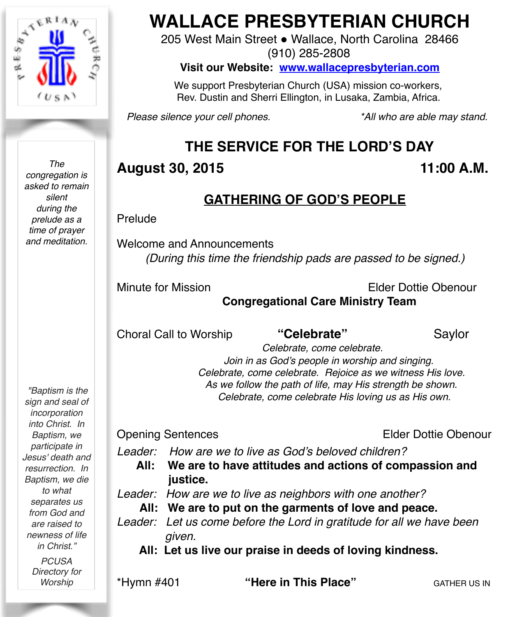

*The congregation is asked to remain silent during the prelude as a time of prayer and meditation.*

*"Baptism is the sign and seal of incorporation into Christ. In Baptism, we participate in Jesus' death and resurrection. In Baptism, we die to what separates us from God and are raised to newness of life in Christ." PCUSA*

*Directory for Worship*

# **WALLACE PRESBYTERIAN CHURCH**

205 West Main Street . Wallace, North Carolina 28466 (910) 285-2808

**Visit our Website: [www.wallacepresbyterian.com](http://www.wallacepresbyterian.com)**

 We support Presbyterian Church (USA) mission co-workers, Rev. Dustin and Sherri Ellington, in Lusaka, Zambia, Africa.

*Please silence your cell phones. \*All who are able may stand.*

## **THE SERVICE FOR THE LORD'S DAY**

### **August 30, 2015 11:00 A.M.**

### **GATHERING OF GOD'S PEOPLE**

Prelude

Welcome and Announcements *(During this time the friendship pads are passed to be signed.)*

Minute for Mission Elder Dottie Obenour

**Congregational Care Ministry Team**

Choral Call to Worship **"Celebrate"** Saylor

 *Celebrate, come celebrate. Join in as God's people in worship and singing. Celebrate, come celebrate. Rejoice as we witness His love. As we follow the path of life, may His strength be shown. Celebrate, come celebrate His loving us as His own.*

Opening Sentences Elder Dottie Obenour

*Leader: How are we to live as God's beloved children?*

**All: We are to have attitudes and actions of compassion and justice.**

*Leader: How are we to live as neighbors with one another?* 

**All: We are to put on the garments of love and peace.**

*Leader: Let us come before the Lord in gratitude for all we have been given.*

 **All: Let us live our praise in deeds of loving kindness.**

\*Hymn #401 **"Here in This Place" GATHER US IN**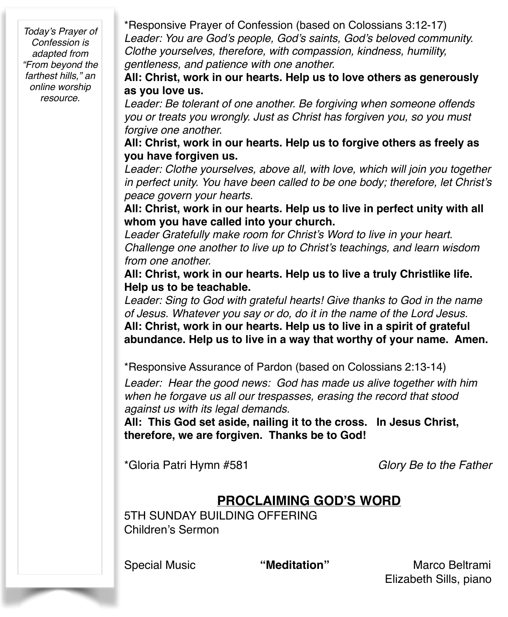*Today's Prayer of Confession is adapted from "From beyond the farthest hills," an online worship resource.*

\*Responsive Prayer of Confession (based on Colossians 3:12-17) *Leader: You are God's people, God's saints, God's beloved community. Clothe yourselves, therefore, with compassion, kindness, humility, gentleness, and patience with one another.*

**All: Christ, work in our hearts. Help us to love others as generously as you love us.**

*Leader: Be tolerant of one another. Be forgiving when someone offends you or treats you wrongly. Just as Christ has forgiven you, so you must forgive one another.*

**All: Christ, work in our hearts. Help us to forgive others as freely as you have forgiven us.**

*Leader: Clothe yourselves, above all, with love, which will join you together in perfect unity. You have been called to be one body; therefore, let Christ's peace govern your hearts.*

**All: Christ, work in our hearts. Help us to live in perfect unity with all whom you have called into your church.**

*Leader Gratefully make room for Christ's Word to live in your heart. Challenge one another to live up to Christ's teachings, and learn wisdom from one another.*

**All: Christ, work in our hearts. Help us to live a truly Christlike life. Help us to be teachable.**

*Leader: Sing to God with grateful hearts! Give thanks to God in the name of Jesus. Whatever you say or do, do it in the name of the Lord Jesus.* **All: Christ, work in our hearts. Help us to live in a spirit of grateful abundance. Help us to live in a way that worthy of your name. Amen.**

\*Responsive Assurance of Pardon (based on Colossians 2:13-14)

*Leader: Hear the good news: God has made us alive together with him when he forgave us all our trespasses, erasing the record that stood against us with its legal demands.*

**All: This God set aside, nailing it to the cross. In Jesus Christ, therefore, we are forgiven. Thanks be to God!**

\*Gloria Patri Hymn #581 *Glory Be to the Father*

### **PROCLAIMING GOD'S WORD**

5TH SUNDAY BUILDING OFFERING Children's Sermon

Special Music **"Meditation"** Marco Beltrami Elizabeth Sills, piano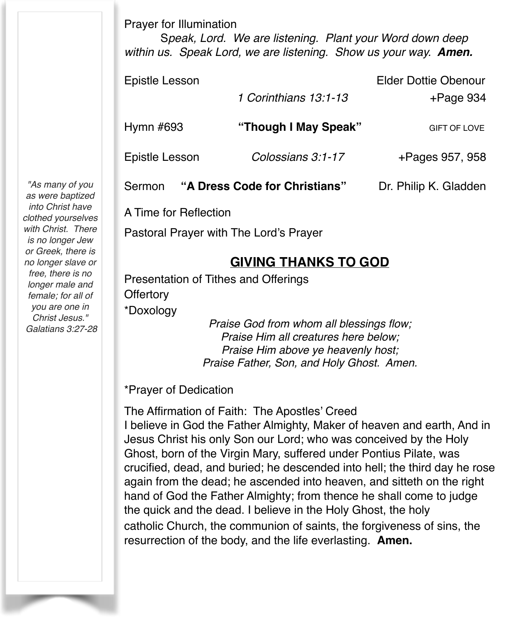Prayer for Illumination

S*peak, Lord. We are listening. Plant your Word down deep within us. Speak Lord, we are listening. Show us your way. Amen.*

| Epistle Lesson                          |                       | <b>Elder Dottie Obenour</b> |  |
|-----------------------------------------|-----------------------|-----------------------------|--|
|                                         | 1 Corinthians 13:1-13 | $+$ Page 934                |  |
| Hymn $#693$                             | "Though I May Speak"  | <b>GIFT OF LOVE</b>         |  |
| Epistle Lesson                          | Colossians 3:1-17     | +Pages 957, 958             |  |
| "A Dress Code for Christians"<br>Sermon |                       | Dr. Philip K. Gladden       |  |

A Time for Reflection

Pastoral Prayer with The Lord's Prayer

### **GIVING THANKS TO GOD**

Presentation of Tithes and Offerings

**Offertory** 

\*Doxology

*Praise God from whom all blessings flow; Praise Him all creatures here below; Praise Him above ye heavenly host; Praise Father, Son, and Holy Ghost. Amen.*

\*Prayer of Dedication

The Affirmation of Faith: The Apostles' Creed I believe in God the Father Almighty, Maker of heaven and earth, And in Jesus Christ his only Son our Lord; who was conceived by the Holy Ghost, born of the Virgin Mary, suffered under Pontius Pilate, was crucified, dead, and buried; he descended into hell; the third day he rose again from the dead; he ascended into heaven, and sitteth on the right hand of God the Father Almighty; from thence he shall come to judge the quick and the dead. I believe in the Holy Ghost, the holy catholic Church, the communion of saints, the forgiveness of sins, the resurrection of the body, and the life everlasting. **Amen.**

*"As many of you as were baptized into Christ have clothed yourselves with Christ. There is no longer Jew or Greek, there is no longer slave or free, there is no longer male and female; for all of you are one in Christ Jesus." Galatians 3:27-28*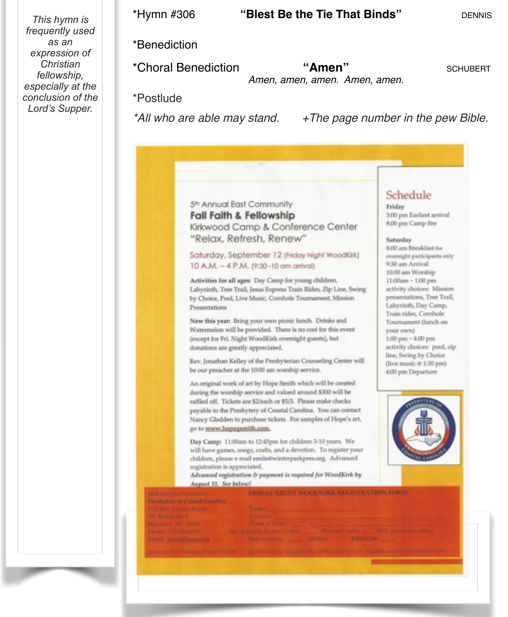*This hymn is frequently used as an expression of Christian fellowship, especially at the conclusion of the Lord's Supper.* 

### \*Benediction

\*Choral Benediction **"Amen"** SCHUBERT *Amen, amen, amen. Amen, amen.*

\*Postlude

*\*All who are able may stand. +The page number in the pew Bible.*

### 5<sup>th</sup> Annual East Community **Fall Faith & Fellowship** Kirkwood Camp & Conference Center "Relax, Refresh, Renew"

Saturday, September 12 (Friday Night WoodKirk) 10 A.M. - 4 P.M. (9:30 -10 am arrival)

Activities for all ages: Day Camp for young children, Labyrinth, Tree Trail, Jesus Express Train Rides, Zip Line, Swing by Choice, Pool, Live Music, Cornhole Tournament, Mission Presentations

New this year: Bring your own picnic lunch. Drinks and Watermelon will be provided. There is no cost for this event (except for Fri. Night WoodKirk overnight guests), but donations are greatly appreciated.

Rev. Jonathan Kelley of the Presbyterian Counseling Center will be our preacher at the 10.00 am worship service.

An original work of art by Hope Smith which will be created during the worship service and valued around \$300 will be raffled off. Tickets are \$2/each or \$5/3. Please make checks payable to the Presbytery of Coastal Carolina. You can contact Nancy Gladden to purchase tickets. For samples of Hope's art, go to www.hopegsmith.com.

Day Camp: 11:00am to 12:45pm for children 3-10 years. We will have games, songs, crafts, and a devotion. To register your children, please e-mail emile@winterparkpres.org. Advanced registration is appreciated.

Advanced registration & payment is required for WoodKirk by Assessed 31 Cap Indianal

### Schedule

Friday 5:00 pm Earliest arrival 8:00 pm Camp fire

### Saturday

8:00 am Breakfast for overnight participants only 9:30 am Arrival 10:00 am Worship 11:00am - 1:00 pm activity choices: Mission presentations, Tree Trail, Labyrinth, Day Camp, Train rides, Cornhole Tournament (lunch on your own) 1:00 pm - 4:00 pm activity choices: pool, zip line, Swing by Choice (live music @ 1:30 pm) 4:00 pm Departure



| and the contract of the contract of the contract of the contract of the contract of the contract of |                                                                                              |
|-----------------------------------------------------------------------------------------------------|----------------------------------------------------------------------------------------------|
| Mall form and Payment to:                                                                           | FRIDAY NICHT WOODKIRK REGISTRATION HORM.                                                     |
| Presbytery of Coastal Camlina                                                                       |                                                                                              |
| C/O Rev. LaNera Parato-                                                                             | <b>Nazado</b>                                                                                |
| 400 Ranger Block                                                                                    | Address:                                                                                     |
| Havelack, NC 28332                                                                                  | <b>Phoene &amp; Freath</b>                                                                   |
| Phone: 252-422-6139.                                                                                | Nincola process is more established and a "Women's cadding and the performance indicated     |
| Lawis arrived to seem                                                                               |                                                                                              |
|                                                                                                     |                                                                                              |
| Chicks results in Penhabina of Darriz Carolina                                                      | Service colonials and profession. Consent offers are my polygons for their telephone and the |
|                                                                                                     |                                                                                              |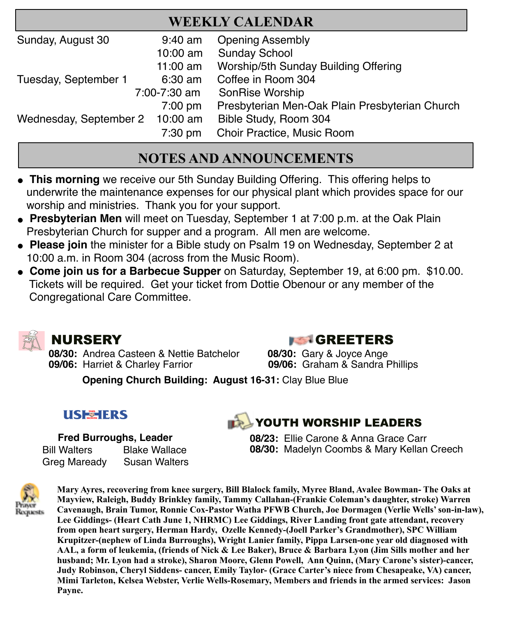| <b>WEEKLY CALENDAR</b>          |            |                                                |  |
|---------------------------------|------------|------------------------------------------------|--|
| Sunday, August 30               | $9:40$ am  | <b>Opening Assembly</b>                        |  |
|                                 | $10:00$ am | <b>Sunday School</b>                           |  |
|                                 | 11:00 $am$ | Worship/5th Sunday Building Offering           |  |
| Tuesday, September 1            | 6:30 am    | Coffee in Room 304                             |  |
| 7:00-7:30 am                    |            | SonRise Worship                                |  |
|                                 | $7:00$ pm  | Presbyterian Men-Oak Plain Presbyterian Church |  |
| Wednesday, September 2 10:00 am |            | Bible Study, Room 304                          |  |
|                                 | $7:30$ pm  | Choir Practice, Music Room                     |  |

### **NOTES AND ANNOUNCEMENTS**

- **This morning** we receive our 5th Sunday Building Offering. This offering helps to underwrite the maintenance expenses for our physical plant which provides space for our worship and ministries. Thank you for your support.
- **Presbyterian Men** will meet on Tuesday, September 1 at 7:00 p.m. at the Oak Plain Presbyterian Church for supper and a program. All men are welcome.
- Please join the minister for a Bible study on Psalm 19 on Wednesday, September 2 at 10:00 a.m. in Room 304 (across from the Music Room).
- " **Come join us for a Barbecue Supper** on Saturday, September 19, at 6:00 pm. \$10.00. Tickets will be required. Get your ticket from Dottie Obenour or any member of the Congregational Care Committee.



 **08/30:** Andrea Casteen & Nettie Batchelor **08/30:** Gary & Joyce Ange **09/06:** Harriet & Charley Farrior **09/06:** Graham & Sandra Phillips

### **NURSERY GREETERS**

**Opening Church Building: August 16-31:** Clay Blue Blue

### **USEMERS**

 **Fred Burroughs, Leader** Bill Walters Blake Wallace Greg Maready Susan Walters

## **THE YOUTH WORSHIP LEADERS**

**08/23:** Ellie Carone & Anna Grace Carr **08/30:** Madelyn Coombs & Mary Kellan Creech



**Mary Ayres, recovering from knee surgery, Bill Blalock family, Myree Bland, Avalee Bowman- The Oaks at Mayview, Raleigh, Buddy Brinkley family, Tammy Callahan-(Frankie Coleman's daughter, stroke) Warren Cavenaugh, Brain Tumor, Ronnie Cox-Pastor Watha PFWB Church, Joe Dormagen (Verlie Wells' son-in-law), Lee Giddings- (Heart Cath June 1, NHRMC) Lee Giddings, River Landing front gate attendant, recovery from open heart surgery, Herman Hardy, Ozelle Kennedy-(Joell Parker's Grandmother), SPC William Krupitzer-(nephew of Linda Burroughs), Wright Lanier family, Pippa Larsen-one year old diagnosed with AAL, a form of leukemia, (friends of Nick & Lee Baker), Bruce & Barbara Lyon (Jim Sills mother and her husband; Mr. Lyon had a stroke), Sharon Moore, Glenn Powell, Ann Quinn, (Mary Carone's sister)-cancer, Judy Robinson, Cheryl Siddens- cancer, Emily Taylor- (Grace Carter's niece from Chesapeake, VA) cancer, Mimi Tarleton, Kelsea Webster, Verlie Wells-Rosemary, Members and friends in the armed services: Jason Payne.**